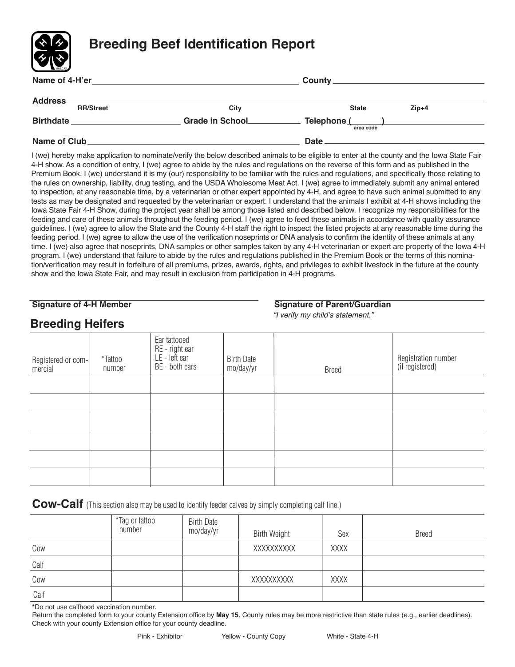

| <b>Address</b>   |                         |                          |         |
|------------------|-------------------------|--------------------------|---------|
| <b>RR/Street</b> | City                    | <b>State</b>             | $Zip+4$ |
| <b>Birthdate</b> | <b>Grade in School_</b> | Telephone (<br>area code |         |
| Name of Club     |                         | Date                     |         |

I (we) hereby make application to nominate/verify the below described animals to be eligible to enter at the county and the Iowa State Fair 4-H show. As a condition of entry, I (we) agree to abide by the rules and regulations on the reverse of this form and as published in the Premium Book. I (we) understand it is my (our) responsibility to be familiar with the rules and regulations, and specifically those relating to the rules on ownership, liability, drug testing, and the USDA Wholesome Meat Act. I (we) agree to immediately submit any animal entered to inspection, at any reasonable time, by a veterinarian or other expert appointed by 4-H, and agree to have such animal submitted to any tests as may be designated and requested by the veterinarian or expert. I understand that the animals I exhibit at 4-H shows including the Iowa State Fair 4-H Show, during the project year shall be among those listed and described below. I recognize my responsibilities for the feeding and care of these animals throughout the feeding period. I (we) agree to feed these animals in accordance with quality assurance guidelines. I (we) agree to allow the State and the County 4-H staff the right to inspect the listed projects at any reasonable time during the feeding period. I (we) agree to allow the use of the verification noseprints or DNA analysis to confirm the identity of these animals at any time. I (we) also agree that noseprints, DNA samples or other samples taken by any 4-H veterinarian or expert are property of the Iowa 4-H program. I (we) understand that failure to abide by the rules and regulations published in the Premium Book or the terms of this nomination/verification may result in forfeiture of all premiums, prizes, awards, rights, and privileges to exhibit livestock in the future at the county show and the Iowa State Fair, and may result in exclusion from participation in 4-H programs.

| <b>Signature of 4-H Member</b> |  |
|--------------------------------|--|
|--------------------------------|--|

**Breeding Heifers**

#### **Signature of Parent/Guardian**

*"I verify my child's statement."*

| $\check{~}$        |                   |                                                                     |                                |              |                                        |
|--------------------|-------------------|---------------------------------------------------------------------|--------------------------------|--------------|----------------------------------------|
| Registered or com- | *Tattoo<br>number | Ear tattooed<br>RE - right ear<br>$LE$ - left ear<br>BE - both ears | <b>Birth Date</b><br>mo/day/yr | <b>Breed</b> | Registration number<br>(if registered) |
|                    |                   |                                                                     |                                |              |                                        |
|                    |                   |                                                                     |                                |              |                                        |
|                    |                   |                                                                     |                                |              |                                        |
|                    |                   |                                                                     |                                |              |                                        |
|                    |                   |                                                                     |                                |              |                                        |
|                    |                   |                                                                     |                                |              |                                        |
|                    |                   |                                                                     |                                |              |                                        |
|                    |                   |                                                                     |                                |              |                                        |

**Cow-Calf** (This section also may be used to identify feeder calves by simply completing calf line.)

|      | *Tag or tattoo<br>number | <b>Birth Date</b><br>mo/day/yr | <b>Birth Weight</b> | Sex         | <b>Breed</b> |
|------|--------------------------|--------------------------------|---------------------|-------------|--------------|
| Cow  |                          |                                | XXXXXXXXX           | <b>XXXX</b> |              |
| Calf |                          |                                |                     |             |              |
| Cow  |                          |                                | XXXXXXXXXX          | <b>XXXX</b> |              |
| Calf |                          |                                |                     |             |              |

**\***Do not use calfhood vaccination number.

Return the completed form to your county Extension office by **May 15**. County rules may be more restrictive than state rules (e.g., earlier deadlines). Check with your county Extension office for your county deadline.